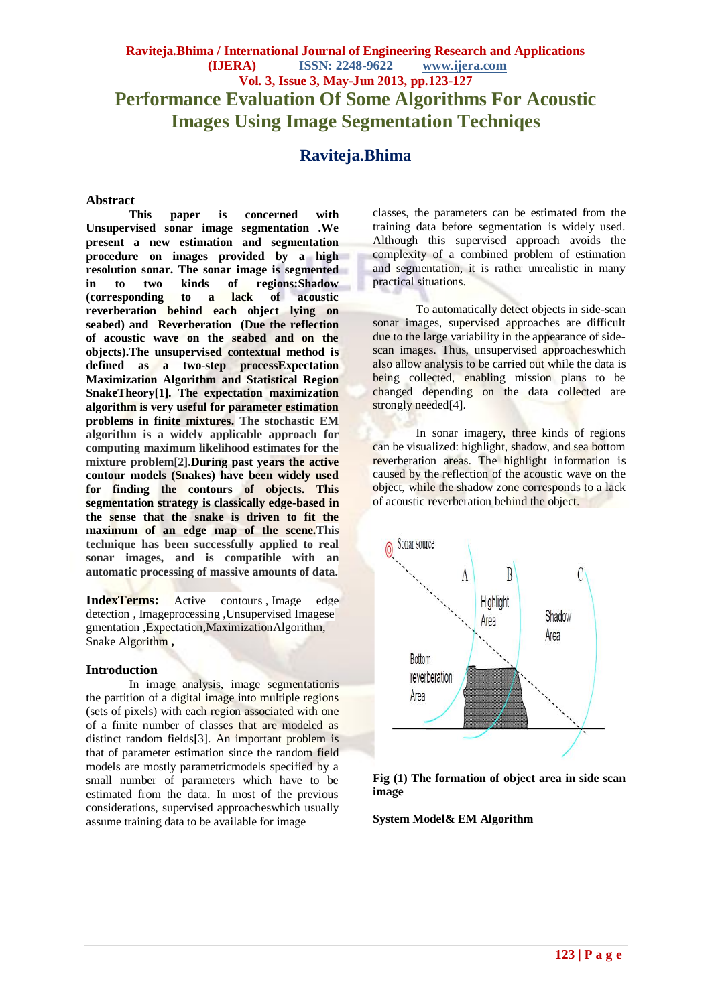# **Raviteja.Bhima / International Journal of Engineering Research and Applications (IJERA) ISSN: 2248-9622 www.ijera.com Vol. 3, Issue 3, May-Jun 2013, pp.123-127 Performance Evaluation Of Some Algorithms For Acoustic Images Using Image Segmentation Techniqes**

# **Raviteja.Bhima**

#### **Abstract**

**This paper is concerned with Unsupervised sonar image segmentation .We present a new estimation and segmentation procedure on images provided by a high resolution sonar. The sonar image is segmented**  in to two kinds of regions:Shadow<br> **corresponding** to a lack of acoustic **(corresponding** to a **reverberation behind each object lying on seabed) and Reverberation (Due the reflection of acoustic wave on the seabed and on the objects).The unsupervised contextual method is defined as a two-step processExpectation Maximization Algorithm and Statistical Region SnakeTheory[1]. The expectation maximization algorithm is very useful for parameter estimation problems in finite mixtures. The stochastic EM algorithm is a widely applicable approach for computing maximum likelihood estimates for the mixture problem[2].During past years the active contour models (Snakes) have been widely used for finding the contours of objects. This segmentation strategy is classically edge-based in the sense that the snake is driven to fit the maximum of an edge map of the scene.This technique has been successfully applied to real sonar images, and is compatible with an automatic processing of massive amounts of data.**

**IndexTerms:** [Active contours](http://ieeexplore.ieee.org/search/searchresult.jsp?searchWithin=Search_Index_Terms:.QT.Active%20contours.QT.&newsearch=partialPref) , [Image edge](http://ieeexplore.ieee.org/search/searchresult.jsp?searchWithin=Search_Index_Terms:.QT.Image%20edge%20detection.QT.&newsearch=partialPref)  [detection](http://ieeexplore.ieee.org/search/searchresult.jsp?searchWithin=Search_Index_Terms:.QT.Image%20edge%20detection.QT.&newsearch=partialPref) , [Imageprocessing](http://ieeexplore.ieee.org/search/searchresult.jsp?searchWithin=Search_Index_Terms:.QT.Image%20processing.QT.&newsearch=partialPref) ,Unsupervised [Imagese](http://ieeexplore.ieee.org/search/searchresult.jsp?searchWithin=Search_Index_Terms:.QT.Image%20segmentation.QT.&newsearch=partialPref) [gmentation](http://ieeexplore.ieee.org/search/searchresult.jsp?searchWithin=Search_Index_Terms:.QT.Image%20segmentation.QT.&newsearch=partialPref) ,Expectation,MaximizationAlgorithm, Snake Algorithm **,**

#### **Introduction**

In image analysis, image segmentationis the partition of a digital image into multiple regions (sets of pixels) with each region associated with one of a finite number of classes that are modeled as distinct random fields[3]. An important problem is that of parameter estimation since the random field models are mostly parametricmodels specified by a small number of parameters which have to be estimated from the data. In most of the previous considerations, supervised approacheswhich usually assume training data to be available for image

classes, the parameters can be estimated from the training data before segmentation is widely used. Although this supervised approach avoids the complexity of a combined problem of estimation and segmentation, it is rather unrealistic in many practical situations.

To automatically detect objects in side-scan sonar images, supervised approaches are difficult due to the large variability in the appearance of sidescan images. Thus, unsupervised approacheswhich also allow analysis to be carried out while the data is being collected, enabling mission plans to be changed depending on the data collected are strongly needed<sup>[4]</sup>.

In sonar imagery, three kinds of regions can be visualized: highlight, shadow, and sea bottom reverberation areas. The highlight information is caused by the reflection of the acoustic wave on the object, while the shadow zone corresponds to a lack of acoustic reverberation behind the object.





**System Model& EM Algorithm**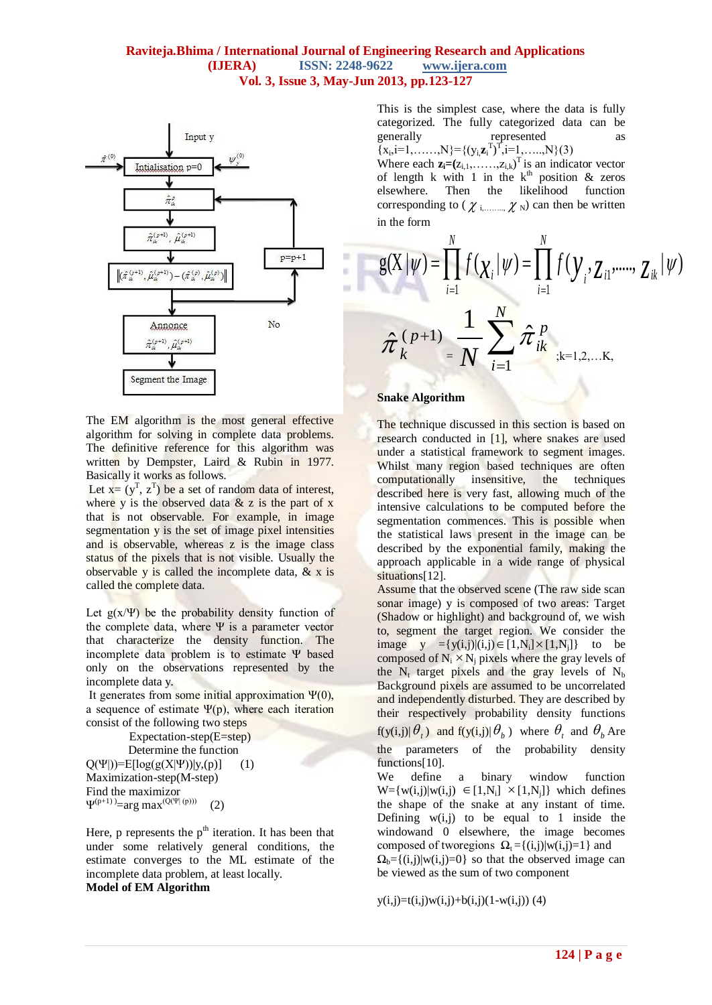# **Raviteja.Bhima / International Journal of Engineering Research and Applications (IJERA) ISSN: 2248-9622 www.ijera.com Vol. 3, Issue 3, May-Jun 2013, pp.123-127**

m. ĸ



The EM algorithm is the most general effective algorithm for solving in complete data problems. The definitive reference for this algorithm was written by Dempster, Laird & Rubin in 1977. Basically it works as follows.

Let  $x = (y^T, z^T)$  be a set of random data of interest, where y is the observed data  $& z$  is the part of x that is not observable. For example, in image segmentation y is the set of image pixel intensities and is observable, whereas z is the image class status of the pixels that is not visible. Usually the observable y is called the incomplete data,  $\&$  x is called the complete data.

Let  $g(x/\Psi)$  be the probability density function of the complete data, where  $\Psi$  is a parameter vector that characterize the density function. The incomplete data problem is to estimate Ψ based only on the observations represented by the incomplete data y.

It generates from some initial approximation Ψ(0), a sequence of estimate  $\Psi(p)$ , where each iteration consist of the following two steps

Expectation-step(E=step) Determine the function  $Q(\Psi|)=E[log(g(X|\Psi))|y,(p)]$  (1)

Maximization-step(M-step) Find the maximizor  $\Psi^{(p+1)} = \arg \max^{(Q(\Psi | (p)))}$  (2)

Here, p represents the  $p<sup>th</sup>$  iteration. It has been that under some relatively general conditions, the estimate converges to the ML estimate of the incomplete data problem, at least locally. **Model of EM Algorithm**

This is the simplest case, where the data is fully categorized. The fully categorized data can be generally represented as  ${x_i, i=1, \ldots, N} = {(y_i, z_i^T)^T, i=1, \ldots, N}(3)$ Where each  $\mathbf{z}_i = (z_{i,1}, \ldots, z_{i,k})^\text{T}$  is an indicator vector of length k with 1 in the  $k^{\text{th}}$  position & zeros elsewhere. Then the likelihood function corresponding to ( $\chi$ <sub>i,……</sub>,  $\chi$ <sub>N</sub>) can then be written in the form

$$
g(X | \psi) = \prod_{i=1}^{N} f(\chi_{i} | \psi) = \prod_{i=1}^{N} f(\gamma_{i}, \zeta_{i1}, \dots, \zeta_{ik} | \psi)
$$

$$
\hat{\pi}_{k}^{(p+1)} = \frac{1}{N} \sum_{i=1}^{N} \hat{\pi}_{ik}^{p}_{k_{i}+1, 2, \dots, K_{i}}
$$

### **Snake Algorithm**

The technique discussed in this section is based on research conducted in [1], where snakes are used under a statistical framework to segment images. Whilst many region based techniques are often computationally insensitive, the techniques described here is very fast, allowing much of the intensive calculations to be computed before the segmentation commences. This is possible when the statistical laws present in the image can be described by the exponential family, making the approach applicable in a wide range of physical situations[12].

Assume that the observed scene (The raw side scan sonar image) y is composed of two areas: Target (Shadow or highlight) and background of, we wish to, segment the target region. We consider the image  $y = {y(i,j)|(i,j) \in [1,N_i] \times [1,N_j]}$  to be composed of  $N_i \times N_j$  pixels where the gray levels of the  $N_t$  target pixels and the gray levels of  $N_b$ Background pixels are assumed to be uncorrelated and independently disturbed. They are described by their respectively probability density functions

 $f(y(i,j)|\theta_t)$  and  $f(y(i,j)|\theta_b)$  where  $\theta_t$  and  $\theta_b$  Are the parameters of the probability density functions[10].

We define a binary window function  $W = \{w(i,j)|w(i,j) \in [1,N_i] \times [1,N_j]\}$  which defines the shape of the snake at any instant of time. Defining  $w(i,j)$  to be equal to 1 inside the windowand 0 elsewhere, the image becomes composed of two egions  $\Omega_t = \{(i, j) | w(i, j) = 1\}$  and  $\Omega_b = \{(i,j)|w(i,j)=0\}$  so that the observed image can

be viewed as the sum of two component

 $y(i,j)=t(i,j)w(i,j)+b(i,j)(1-w(i,j))$  (4)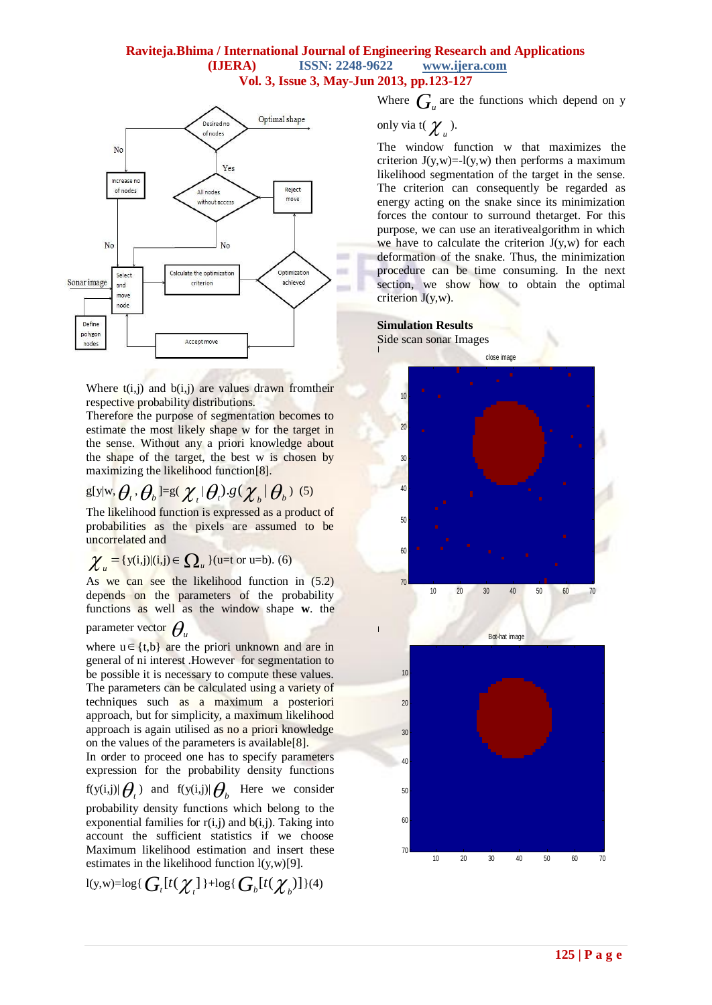# **Raviteja.Bhima / International Journal of Engineering Research and Applications (IJERA) ISSN: 2248-9622 www.ijera.com Vol. 3, Issue 3, May-Jun 2013, pp.123-127**



Where  $t(i,j)$  and  $b(i,j)$  are values drawn from their respective probability distributions.

Therefore the purpose of segmentation becomes to estimate the most likely shape w for the target in the sense. Without any a priori knowledge about the shape of the target, the best w is chosen by maximizing the likelihood function[8].

g[
$$
y|w
$$
,  $\theta$ ,  $\theta$ ,  $0$ ] =  $g(\chi_t|\theta_t)$ . $g(\chi_b|\theta_b)$  (5)

The likelihood function is expressed as a product of probabilities as the pixels are assumed to be uncorrelated and

$$
\chi_u = \{y(i,j)| (i,j) \in \Omega_u \} \text{ (u=t or u=b). (6)}
$$

As we can see the likelihood function in (5.2) depends on the parameters of the probability functions as well as the window shape **w**. the

# parameter vector  $\theta_u$

where  $u \in \{t,b\}$  are the priori unknown and are in general of ni interest .However for segmentation to be possible it is necessary to compute these values. The parameters can be calculated using a variety of techniques such as a maximum a posteriori approach, but for simplicity, a maximum likelihood approach is again utilised as no a priori knowledge on the values of the parameters is available[8].

In order to proceed one has to specify parameters expression for the probability density functions

$$
f(y(i,j)|\theta_t)
$$
 and  $f(y(i,j)|\theta_b$  Here we consider

probability density functions which belong to the exponential families for  $r(i,j)$  and  $b(i,j)$ . Taking into account the sufficient statistics if we choose Maximum likelihood estimation and insert these estimates in the likelihood function  $l(y,w)[9]$ .

$$
\text{I}(\textbf{y},\textbf{w})\text{=log}\{\textit{G}_{t}[t(\boldsymbol{\chi}_{t}]\text{+log}\{\textit{G}_{b}[t(\boldsymbol{\chi}_{b})]\}(4)
$$

Where  $G_u$  are the functions which depend on y

only via 
$$
t(\chi_u)
$$
.

The window function w that maximizes the criterion  $J(y, w) = -l(y, w)$  then performs a maximum likelihood segmentation of the target in the sense. The criterion can consequently be regarded as energy acting on the snake since its minimization forces the contour to surround thetarget. For this purpose, we can use an iterativealgorithm in which we have to calculate the criterion  $J(y, w)$  for each deformation of the snake. Thus, the minimization procedure can be time consuming. In the next section, we show how to obtain the optimal criterion  $J(y, w)$ .

### **Simulation Results**

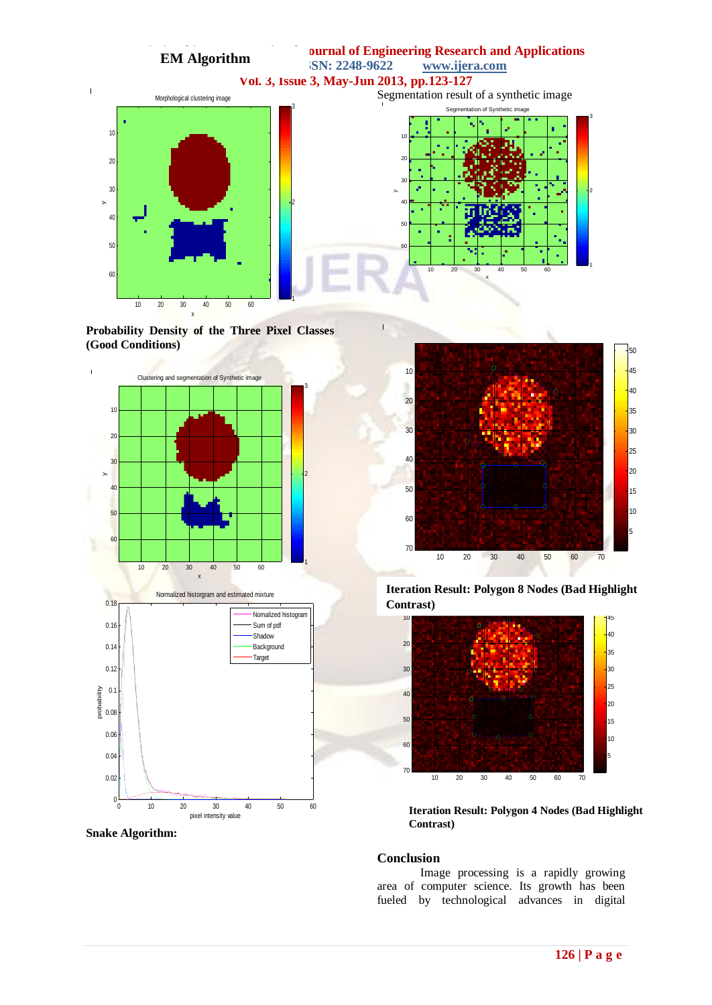

**Probability Density of the Three Pixel Classes (Good Conditions)**









**Iteration Result: Polygon 8 Nodes (Bad Highlight Contrast)**



**Iteration Result: Polygon 4 Nodes (Bad Highlight Contrast)**

#### **Conclusion**

Image processing is a rapidly growing area of computer science. Its growth has been fueled by technological advances in digital